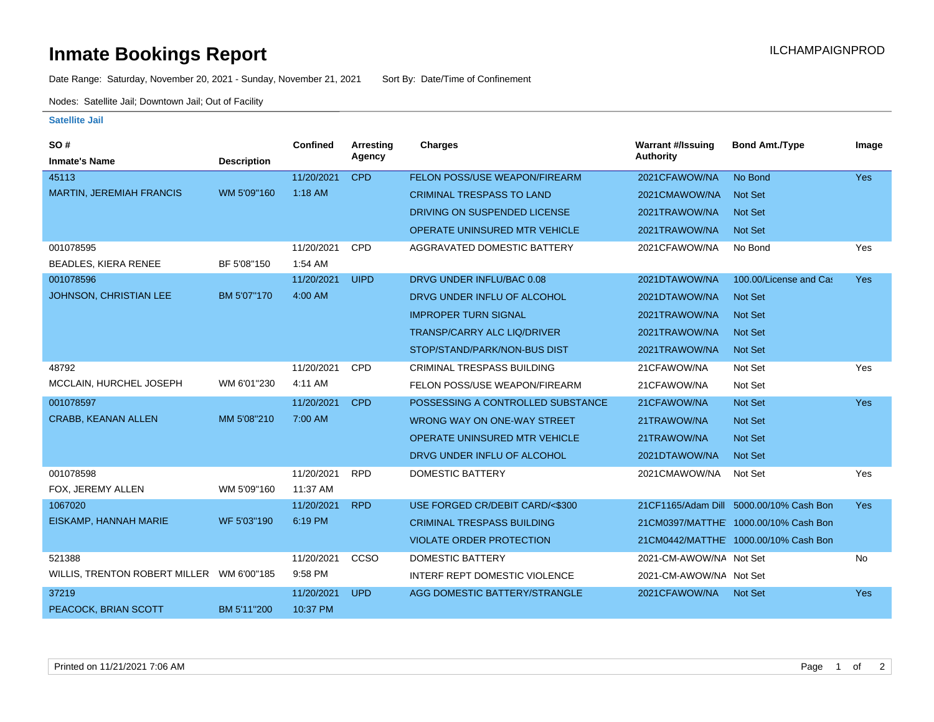## **Inmate Bookings Report Installation ILCHAMPAIGNPROD**

Date Range: Saturday, November 20, 2021 - Sunday, November 21, 2021 Sort By: Date/Time of Confinement

Nodes: Satellite Jail; Downtown Jail; Out of Facility

## **Satellite Jail**

| SO#                                        |                    | <b>Confined</b> | <b>Arresting</b> | <b>Charges</b>                       | <b>Warrant #/Issuing</b> | <b>Bond Amt./Type</b>                    | Image      |
|--------------------------------------------|--------------------|-----------------|------------------|--------------------------------------|--------------------------|------------------------------------------|------------|
| <b>Inmate's Name</b>                       | <b>Description</b> |                 | Agency           |                                      | <b>Authority</b>         |                                          |            |
| 45113                                      |                    | 11/20/2021      | <b>CPD</b>       | FELON POSS/USE WEAPON/FIREARM        | 2021CFAWOW/NA            | No Bond                                  | <b>Yes</b> |
| <b>MARTIN, JEREMIAH FRANCIS</b>            | WM 5'09"160        | 1:18 AM         |                  | <b>CRIMINAL TRESPASS TO LAND</b>     | 2021CMAWOW/NA            | Not Set                                  |            |
|                                            |                    |                 |                  | DRIVING ON SUSPENDED LICENSE         | 2021TRAWOW/NA            | <b>Not Set</b>                           |            |
|                                            |                    |                 |                  | OPERATE UNINSURED MTR VEHICLE        | 2021TRAWOW/NA            | <b>Not Set</b>                           |            |
| 001078595                                  |                    | 11/20/2021      | <b>CPD</b>       | AGGRAVATED DOMESTIC BATTERY          | 2021CFAWOW/NA            | No Bond                                  | Yes        |
| BEADLES, KIERA RENEE                       | BF 5'08"150        | 1:54 AM         |                  |                                      |                          |                                          |            |
| 001078596                                  |                    | 11/20/2021      | <b>UIPD</b>      | DRVG UNDER INFLU/BAC 0.08            | 2021DTAWOW/NA            | 100.00/License and Cas                   | Yes        |
| <b>JOHNSON, CHRISTIAN LEE</b>              | BM 5'07"170        | 4:00 AM         |                  | DRVG UNDER INFLU OF ALCOHOL          | 2021DTAWOW/NA            | Not Set                                  |            |
|                                            |                    |                 |                  | <b>IMPROPER TURN SIGNAL</b>          | 2021TRAWOW/NA            | Not Set                                  |            |
|                                            |                    |                 |                  | TRANSP/CARRY ALC LIQ/DRIVER          | 2021TRAWOW/NA            | Not Set                                  |            |
|                                            |                    |                 |                  | STOP/STAND/PARK/NON-BUS DIST         | 2021TRAWOW/NA            | Not Set                                  |            |
| 48792                                      |                    | 11/20/2021      | CPD              | <b>CRIMINAL TRESPASS BUILDING</b>    | 21CFAWOW/NA              | Not Set                                  | Yes        |
| MCCLAIN, HURCHEL JOSEPH                    | WM 6'01"230        | 4:11 AM         |                  | FELON POSS/USE WEAPON/FIREARM        | 21CFAWOW/NA              | Not Set                                  |            |
| 001078597                                  |                    | 11/20/2021      | <b>CPD</b>       | POSSESSING A CONTROLLED SUBSTANCE    | 21CFAWOW/NA              | Not Set                                  | Yes        |
| <b>CRABB, KEANAN ALLEN</b>                 | MM 5'08"210        | 7:00 AM         |                  | WRONG WAY ON ONE-WAY STREET          | 21TRAWOW/NA              | Not Set                                  |            |
|                                            |                    |                 |                  | <b>OPERATE UNINSURED MTR VEHICLE</b> | 21TRAWOW/NA              | Not Set                                  |            |
|                                            |                    |                 |                  | DRVG UNDER INFLU OF ALCOHOL          | 2021DTAWOW/NA            | Not Set                                  |            |
| 001078598                                  |                    | 11/20/2021      | <b>RPD</b>       | <b>DOMESTIC BATTERY</b>              | 2021CMAWOW/NA            | Not Set                                  | Yes        |
| FOX, JEREMY ALLEN                          | WM 5'09"160        | 11:37 AM        |                  |                                      |                          |                                          |            |
| 1067020                                    |                    | 11/20/2021      | <b>RPD</b>       | USE FORGED CR/DEBIT CARD/<\$300      |                          | 21 CF1165/Adam Dill 5000.00/10% Cash Bon | <b>Yes</b> |
| EISKAMP, HANNAH MARIE                      | WF 5'03"190        | 6:19 PM         |                  | <b>CRIMINAL TRESPASS BUILDING</b>    |                          | 21CM0397/MATTHE' 1000.00/10% Cash Bon    |            |
|                                            |                    |                 |                  | <b>VIOLATE ORDER PROTECTION</b>      |                          | 21CM0442/MATTHE' 1000.00/10% Cash Bon    |            |
| 521388                                     |                    | 11/20/2021      | CCSO             | <b>DOMESTIC BATTERY</b>              | 2021-CM-AWOW/NA Not Set  |                                          | No         |
| WILLIS, TRENTON ROBERT MILLER  WM 6'00"185 |                    | 9:58 PM         |                  | <b>INTERF REPT DOMESTIC VIOLENCE</b> | 2021-CM-AWOW/NA Not Set  |                                          |            |
| 37219                                      |                    | 11/20/2021      | <b>UPD</b>       | AGG DOMESTIC BATTERY/STRANGLE        | 2021CFAWOW/NA            | Not Set                                  | <b>Yes</b> |
| PEACOCK, BRIAN SCOTT                       | BM 5'11"200        | 10:37 PM        |                  |                                      |                          |                                          |            |